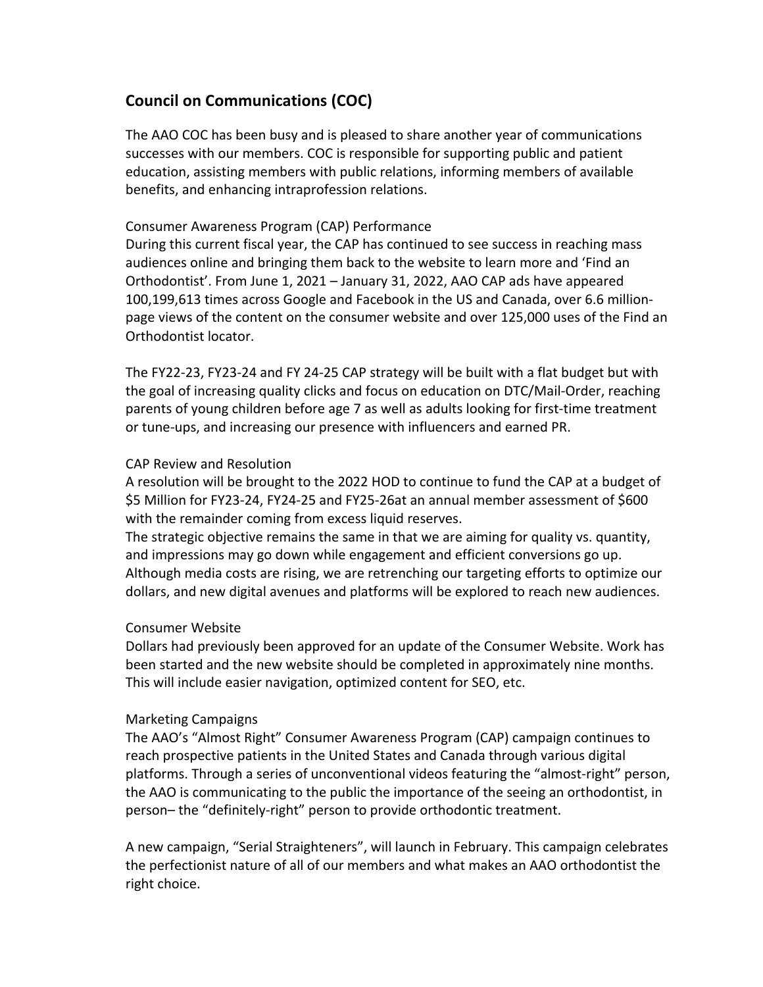# **Council on Communications (COC)**

The AAO COC has been busy and is pleased to share another year of communications successes with our members. COC is responsible for supporting public and patient education, assisting members with public relations, informing members of available benefits, and enhancing intraprofession relations.

## Consumer Awareness Program (CAP) Performance

During this current fiscal year, the CAP has continued to see success in reaching mass audiences online and bringing them back to the website to learn more and 'Find an Orthodontist'. From June 1, 2021 - January 31, 2022, AAO CAP ads have appeared 100,199,613 times across Google and Facebook in the US and Canada, over 6.6 millionpage views of the content on the consumer website and over 125,000 uses of the Find an Orthodontist locator.

The FY22-23, FY23-24 and FY 24-25 CAP strategy will be built with a flat budget but with the goal of increasing quality clicks and focus on education on DTC/Mail-Order, reaching parents of young children before age 7 as well as adults looking for first-time treatment or tune-ups, and increasing our presence with influencers and earned PR.

### CAP Review and Resolution

A resolution will be brought to the 2022 HOD to continue to fund the CAP at a budget of \$5 Million for FY23-24, FY24-25 and FY25-26at an annual member assessment of \$600 with the remainder coming from excess liquid reserves.

The strategic objective remains the same in that we are aiming for quality vs. quantity, and impressions may go down while engagement and efficient conversions go up. Although media costs are rising, we are retrenching our targeting efforts to optimize our dollars, and new digital avenues and platforms will be explored to reach new audiences.

### Consumer Website

Dollars had previously been approved for an update of the Consumer Website. Work has been started and the new website should be completed in approximately nine months. This will include easier navigation, optimized content for SEO, etc.

### Marketing Campaigns

The AAO's "Almost Right" Consumer Awareness Program (CAP) campaign continues to reach prospective patients in the United States and Canada through various digital platforms. Through a series of unconventional videos featuring the "almost-right" person, the AAO is communicating to the public the importance of the seeing an orthodontist, in person- the "definitely-right" person to provide orthodontic treatment.

A new campaign, "Serial Straighteners", will launch in February. This campaign celebrates the perfectionist nature of all of our members and what makes an AAO orthodontist the right choice.